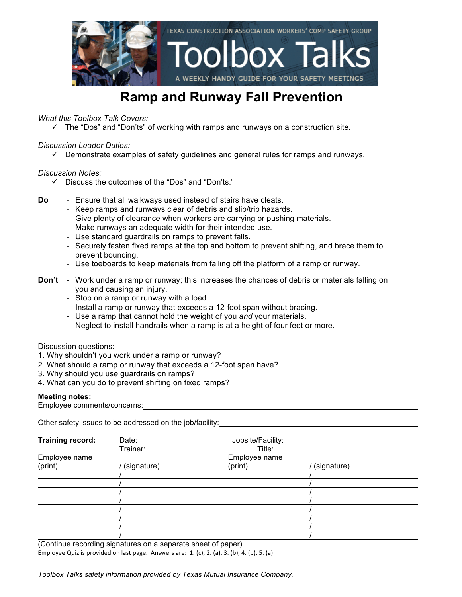

### **Ramp and Runway Fall Prevention**

*What this Toolbox Talk Covers:*

 $\checkmark$  The "Dos" and "Don'ts" of working with ramps and runways on a construction site.

#### *Discussion Leader Duties:*

 $\checkmark$  Demonstrate examples of safety quidelines and general rules for ramps and runways.

#### *Discussion Notes:*

- $\checkmark$  Discuss the outcomes of the "Dos" and "Don'ts."
- **Do** Ensure that all walkways used instead of stairs have cleats.
	- Keep ramps and runways clear of debris and slip/trip hazards.
	- Give plenty of clearance when workers are carrying or pushing materials.
	- Make runways an adequate width for their intended use.
	- Use standard guardrails on ramps to prevent falls.
	- Securely fasten fixed ramps at the top and bottom to prevent shifting, and brace them to prevent bouncing.
	- Use toeboards to keep materials from falling off the platform of a ramp or runway.
- **Don't** Work under a ramp or runway; this increases the chances of debris or materials falling on you and causing an injury.
	- Stop on a ramp or runway with a load.
	- Install a ramp or runway that exceeds a 12-foot span without bracing.
	- Use a ramp that cannot hold the weight of you *and* your materials.
	- Neglect to install handrails when a ramp is at a height of four feet or more.

#### Discussion questions:

- 1. Why shouldn't you work under a ramp or runway?
- 2. What should a ramp or runway that exceeds a 12-foot span have?
- 3. Why should you use guardrails on ramps?
- 4. What can you do to prevent shifting on fixed ramps?

#### **Meeting notes:**

Employee comments/concerns:

Other safety issues to be addressed on the job/facility:

| <b>Training record:</b> | Date:       | Jobsite/Facility: |             |  |
|-------------------------|-------------|-------------------|-------------|--|
|                         | Trainer:    | Title:            |             |  |
| Employee name           |             | Employee name     |             |  |
| (print)                 | (signature) | (print)           | (signature) |  |
|                         |             |                   |             |  |
|                         |             |                   |             |  |
|                         |             |                   |             |  |
|                         |             |                   |             |  |
|                         |             |                   |             |  |
|                         |             |                   |             |  |
|                         |             |                   |             |  |

(Continue recording signatures on a separate sheet of paper) Employee Quiz is provided on last page. Answers are:  $1.$  (c),  $2.$  (a),  $3.$  (b),  $4.$  (b),  $5.$  (a)

*Toolbox Talks safety information provided by Texas Mutual Insurance Company.*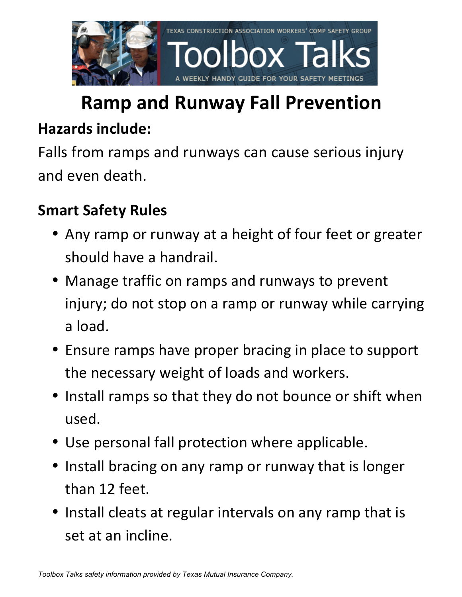

# **Ramp and Runway Fall Prevention**

### **Hazards include:**

Falls from ramps and runways can cause serious injury and even death.

## **Smart Safety Rules**

- Any ramp or runway at a height of four feet or greater should have a handrail.
- Manage traffic on ramps and runways to prevent injury; do not stop on a ramp or runway while carrying a load.
- Ensure ramps have proper bracing in place to support the necessary weight of loads and workers.
- Install ramps so that they do not bounce or shift when used.
- Use personal fall protection where applicable.
- Install bracing on any ramp or runway that is longer than 12 feet.
- Install cleats at regular intervals on any ramp that is set at an incline.